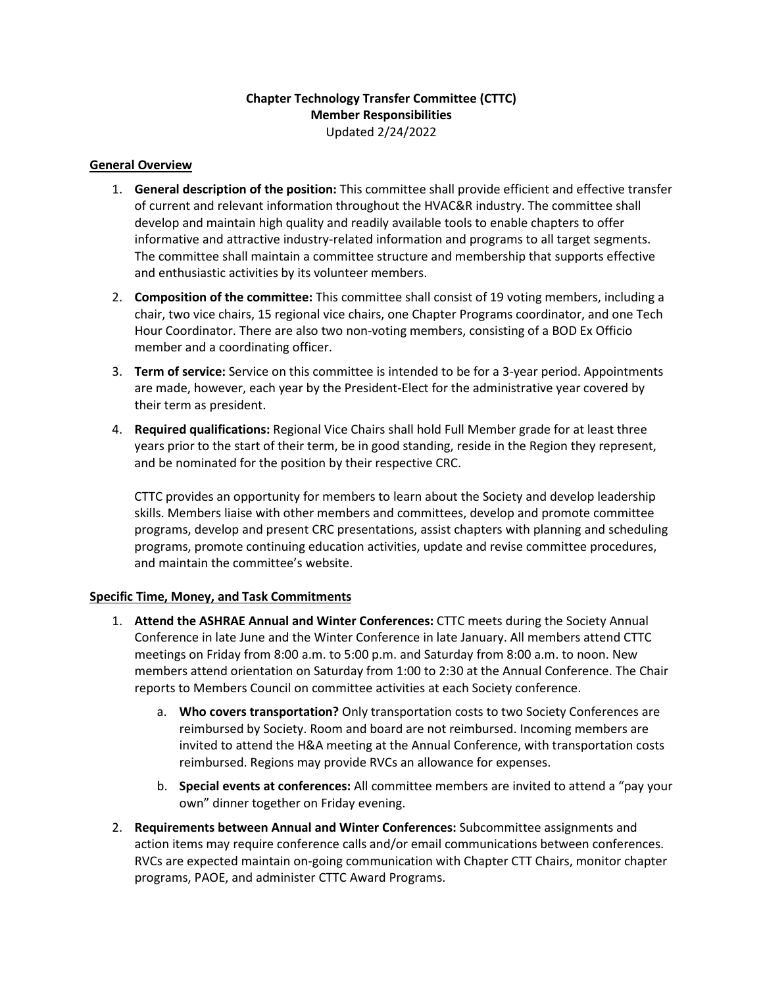## **Chapter Technology Transfer Committee (CTTC) Member Responsibilities** Updated 2/24/2022

## **General Overview**

- 1. **General description of the position:** This committee shall provide efficient and effective transfer of current and relevant information throughout the HVAC&R industry. The committee shall develop and maintain high quality and readily available tools to enable chapters to offer informative and attractive industry-related information and programs to all target segments. The committee shall maintain a committee structure and membership that supports effective and enthusiastic activities by its volunteer members.
- 2. **Composition of the committee:** This committee shall consist of 19 voting members, including a chair, two vice chairs, 15 regional vice chairs, one Chapter Programs coordinator, and one Tech Hour Coordinator. There are also two non-voting members, consisting of a BOD Ex Officio member and a coordinating officer.
- 3. **Term of service:** Service on this committee is intended to be for a 3-year period. Appointments are made, however, each year by the President-Elect for the administrative year covered by their term as president.
- 4. **Required qualifications:** Regional Vice Chairs shall hold Full Member grade for at least three years prior to the start of their term, be in good standing, reside in the Region they represent, and be nominated for the position by their respective CRC.

CTTC provides an opportunity for members to learn about the Society and develop leadership skills. Members liaise with other members and committees, develop and promote committee programs, develop and present CRC presentations, assist chapters with planning and scheduling programs, promote continuing education activities, update and revise committee procedures, and maintain the committee's website.

## **Specific Time, Money, and Task Commitments**

- 1. **Attend the ASHRAE Annual and Winter Conferences:** CTTC meets during the Society Annual Conference in late June and the Winter Conference in late January. All members attend CTTC meetings on Friday from 8:00 a.m. to 5:00 p.m. and Saturday from 8:00 a.m. to noon. New members attend orientation on Saturday from 1:00 to 2:30 at the Annual Conference. The Chair reports to Members Council on committee activities at each Society conference.
	- a. **Who covers transportation?** Only transportation costs to two Society Conferences are reimbursed by Society. Room and board are not reimbursed. Incoming members are invited to attend the H&A meeting at the Annual Conference, with transportation costs reimbursed. Regions may provide RVCs an allowance for expenses.
	- b. **Special events at conferences:** All committee members are invited to attend a "pay your own" dinner together on Friday evening.
- 2. **Requirements between Annual and Winter Conferences:** Subcommittee assignments and action items may require conference calls and/or email communications between conferences. RVCs are expected maintain on-going communication with Chapter CTT Chairs, monitor chapter programs, PAOE, and administer CTTC Award Programs.